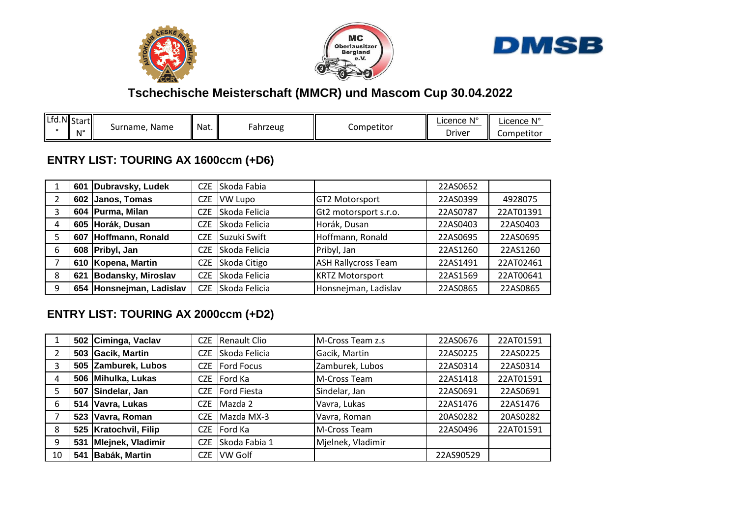





### **Tschechische Meisterschaft (MMCR) und Mascom Cup 30.04.2022**

| Lfd.NStart<br>. Name<br>Surname.<br><b>N</b> <sup>o</sup> | $\parallel$ Nat. | ahrzeug | Competitor | . N°<br>∟icence N<br>Driver | N°<br>_icence<br>Competitor |
|-----------------------------------------------------------|------------------|---------|------------|-----------------------------|-----------------------------|
|-----------------------------------------------------------|------------------|---------|------------|-----------------------------|-----------------------------|

#### **ENTRY LIST: TOURING AX 1600ccm (+D6)**

|   | 601 | Dubravsky, Ludek         | CZE        | Skoda Fabia   |                            | 22AS0652 |           |
|---|-----|--------------------------|------------|---------------|----------------------------|----------|-----------|
|   |     | 602 Janos, Tomas         | CZE        | VW Lupo       | <b>GT2 Motorsport</b>      | 22AS0399 | 4928075   |
| 3 |     | 604 Purma, Milan         | CZE        | Skoda Felicia | Gt2 motorsport s.r.o.      | 22AS0787 | 22AT01391 |
| 4 |     | 605 Horák, Dusan         | <b>CZE</b> | Skoda Felicia | Horák, Dusan               | 22AS0403 | 22AS0403  |
|   | 607 | Hoffmann, Ronald         | CZE        | Suzuki Swift  | Hoffmann, Ronald           | 22AS0695 | 22AS0695  |
| 6 |     | 608 Pribyl, Jan          | <b>CZE</b> | Skoda Felicia | Pribyl, Jan                | 22AS1260 | 22AS1260  |
|   |     | 610 Kopena, Martin       | CZE        | Skoda Citigo  | <b>ASH Rallycross Team</b> | 22AS1491 | 22AT02461 |
| 8 | 621 | Bodansky, Miroslav       | <b>CZE</b> | Skoda Felicia | <b>KRTZ Motorsport</b>     | 22AS1569 | 22AT00641 |
| 9 |     | 654 Honsnejman, Ladislav | <b>CZE</b> | Skoda Felicia | Honsnejman, Ladislav       | 22AS0865 | 22AS0865  |

#### **ENTRY LIST: TOURING AX 2000ccm (+D2)**

|                |     | 502 Ciminga, Vaclav     | <b>CZE</b> | Renault Clio      | M-Cross Team z.s  | 22AS0676  | 22AT01591 |
|----------------|-----|-------------------------|------------|-------------------|-------------------|-----------|-----------|
| $\overline{2}$ |     | 503 Gacik, Martin       | CZE        | Skoda Felicia     | Gacik, Martin     | 22AS0225  | 22AS0225  |
| 3              |     | 505 Zamburek, Lubos     | CZE        | <b>Ford Focus</b> | Zamburek, Lubos   | 22AS0314  | 22AS0314  |
| 4              |     | 506 Mihulka, Lukas      | CZE.       | Ford Ka           | M-Cross Team      | 22AS1418  | 22AT01591 |
| 5              | 507 | Sindelar, Jan           | CZE        | Ford Fiesta       | Sindelar, Jan     | 22AS0691  | 22AS0691  |
| 6              |     | 514   Vavra, Lukas      | <b>CZE</b> | Mazda 2           | Vavra, Lukas      | 22AS1476  | 22AS1476  |
|                |     | 523 Vavra, Roman        | CZE        | Mazda MX-3        | Vavra, Roman      | 20AS0282  | 20AS0282  |
| 8              |     | 525   Kratochvil, Filip | <b>CZE</b> | Ford Ka           | M-Cross Team      | 22AS0496  | 22AT01591 |
| 9              | 531 | Mlejnek, Vladimir       | <b>CZE</b> | Skoda Fabia 1     | Mjelnek, Vladimir |           |           |
| 10             | 541 | Babák, Martin           | CZE.       | <b>VW Golf</b>    |                   | 22AS90529 |           |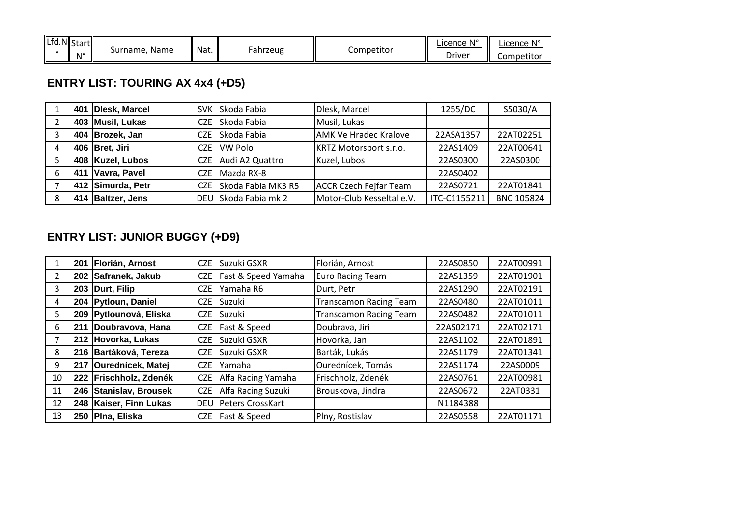| Lfd.N Start<br>Nat.<br>Name<br>Surname.<br>ahrzeug -<br>N' | Competitor | $N^{\circ}$<br>Licence<br>Driver | .icence N°<br>Competitor |
|------------------------------------------------------------|------------|----------------------------------|--------------------------|
|------------------------------------------------------------|------------|----------------------------------|--------------------------|

# **ENTRY LIST: TOURING AX 4x4 (+D5)**

|   | 401 | Dlesk, Marcel     |            | SVK Skoda Fabia      | Dlesk, Marcel                 | 1255/DC      | S5030/A           |
|---|-----|-------------------|------------|----------------------|-------------------------------|--------------|-------------------|
|   |     | 403 Musil, Lukas  | CZE.       | Skoda Fabia          | Musil, Lukas                  |              |                   |
| Э |     | 404 Brozek, Jan   | CZE.       | Skoda Fabia          | <b>AMK Ve Hradec Kralove</b>  | 22ASA1357    | 22AT02251         |
| 4 |     | 406 Bret, Jiri    | CZE.       | <b>VW Polo</b>       | <b>KRTZ Motorsport s.r.o.</b> | 22AS1409     | 22AT00641         |
|   |     | 408 Kuzel, Lubos  | CZE        | Audi A2 Quattro      | Kuzel, Lubos                  | 22AS0300     | 22AS0300          |
| 6 | 411 | Vavra, Pavel      | CZE.       | Mazda RX-8           |                               | 22AS0402     |                   |
|   |     | 412 Simurda, Petr | <b>CZE</b> | Skoda Fabia MK3 R5   | <b>ACCR Czech Fejfar Team</b> | 22AS0721     | 22AT01841         |
| 8 |     | 414 Baltzer, Jens |            | DEU Skoda Fabia mk 2 | Motor-Club Kesseltal e.V.     | ITC-C1155211 | <b>BNC 105824</b> |

### **ENTRY LIST: JUNIOR BUGGY (+D9)**

|              | 201 | Florián, Arnost          | <b>CZE</b> | Suzuki GSXR         | Florián, Arnost               | 22AS0850  | 22AT00991 |
|--------------|-----|--------------------------|------------|---------------------|-------------------------------|-----------|-----------|
| $\mathbf{2}$ |     | 202 Safranek, Jakub      | <b>CZE</b> | Fast & Speed Yamaha | <b>Euro Racing Team</b>       | 22AS1359  | 22AT01901 |
| 3            |     | 203 Durt, Filip          | <b>CZE</b> | Yamaha R6           | Durt, Petr                    | 22AS1290  | 22AT02191 |
| 4            |     | 204   Pytloun, Daniel    | <b>CZE</b> | Suzuki              | <b>Transcamon Racing Team</b> | 22AS0480  | 22AT01011 |
| 5.           |     | 209 Pytlounová, Eliska   | <b>CZE</b> | Suzuki              | <b>Transcamon Racing Team</b> | 22AS0482  | 22AT01011 |
| 6            | 211 | Doubravova, Hana         | <b>CZE</b> | Fast & Speed        | Doubrava, Jiri                | 22AS02171 | 22AT02171 |
| 7            | 212 | Hovorka, Lukas           | <b>CZE</b> | Suzuki GSXR         | Hovorka, Jan                  | 22AS1102  | 22AT01891 |
| 8            |     | 216 Bartáková, Tereza    | <b>CZE</b> | Suzuki GSXR         | Barták, Lukás                 | 22AS1179  | 22AT01341 |
| 9            | 217 | <b>Ourednícek, Matej</b> | <b>CZE</b> | Yamaha              | Ourednícek, Tomás             | 22AS1174  | 22AS0009  |
| 10           |     | 222 Frischholz, Zdenék   | <b>CZE</b> | Alfa Racing Yamaha  | Frischholz, Zdenék            | 22AS0761  | 22AT00981 |
| 11           |     | 246 Stanislav, Brousek   | <b>CZE</b> | Alfa Racing Suzuki  | Brouskova, Jindra             | 22AS0672  | 22AT0331  |
| 12           | 248 | Kaiser, Finn Lukas       | <b>DEU</b> | Peters CrossKart    |                               | N1184388  |           |
| 13           | 250 | Pina, Eliska             | <b>CZE</b> | Fast & Speed        | Plny, Rostislav               | 22AS0558  | 22AT01171 |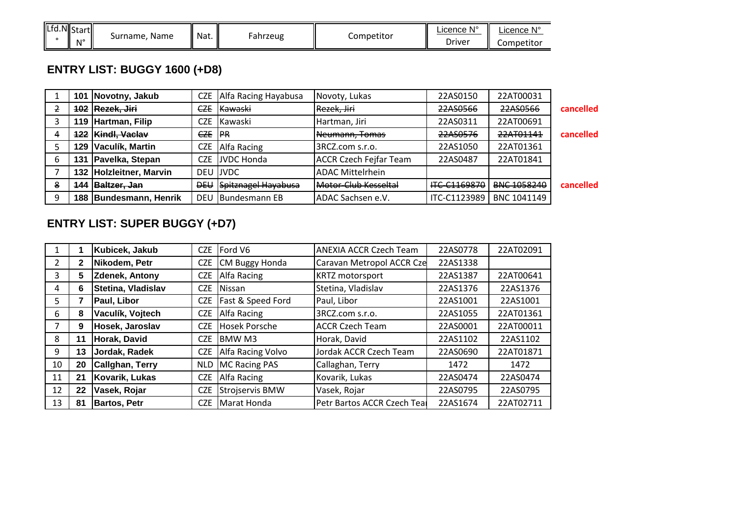| $\sqrt{\frac{1}{10}}$<br>.NII c<br>المتعدد<br>wasa um | Name<br>Surname. | $\ddot{\phantom{1}}$<br>Nat. | ahrzeug- | Competitor | <b>N<sub>1</sub></b><br>.icence | <b>N</b> <sub>1</sub> e<br>_icence |
|-------------------------------------------------------|------------------|------------------------------|----------|------------|---------------------------------|------------------------------------|
| N <sup>o</sup>                                        |                  |                              |          |            | Driver                          | .<br>Competitor                    |

# **ENTRY LIST: BUGGY 1600 (+D8)**

|   |     | 101 Novotny, Jakub      | <b>CZE</b>     | Alfa Racing Hayabusa       | Novoty, Lukas                 | 22AS0150     | 22AT00031   |           |
|---|-----|-------------------------|----------------|----------------------------|-------------------------------|--------------|-------------|-----------|
|   |     | 102 Rezek, Jiri         | <b>CZE</b>     | <b>Kawaski</b>             | Rezek, Jiri                   | 22AS0566     | 22AS0566    | cancelled |
|   |     | 119 Hartman, Filip      | <b>CZE</b>     | Kawaski                    | Hartman, Jiri                 | 22AS0311     | 22AT00691   |           |
|   | 122 | Kindl, Vaclav           | <del>CZE</del> | IRR                        | Neumann, Tomas                | 22AS0576     | 22AT01141   | cancelled |
|   | 129 | Vaculík, Martin         | <b>CZE</b>     | Alfa Racing                | 3RCZ.com s.r.o.               | 22AS1050     | 22AT01361   |           |
| b | 131 | Pavelka, Stepan         | <b>CZE</b>     | JVDC Honda                 | <b>ACCR Czech Fejfar Team</b> | 22AS0487     | 22AT01841   |           |
|   |     | 132 Holzleitner, Marvin |                | DEU JJVDC                  | <b>ADAC Mittelrhein</b>       |              |             |           |
| 8 | 144 | Baltzer, Jan            | <b>DEA</b>     | <b>Spitznagel Hayabusa</b> | Motor-Club Kesseltal          | HC-C1169870  | BNC 1058240 | cancelled |
| q |     | 188 Bundesmann, Henrik  | DEU            | Bundesmann EB              | ADAC Sachsen e.V.             | ITC-C1123989 | BNC 1041149 |           |

### **ENTRY LIST: SUPER BUGGY (+D7)**

|              |              | Kubicek, Jakub        | <b>CZE</b> | Ford V6               | <b>ANEXIA ACCR Czech Team</b> | 22AS0778 | 22AT02091 |
|--------------|--------------|-----------------------|------------|-----------------------|-------------------------------|----------|-----------|
| $\mathbf{2}$ | $\mathbf{2}$ | Nikodem, Petr         | <b>CZE</b> | <b>CM Buggy Honda</b> | Caravan Metropol ACCR Cze     | 22AS1338 |           |
| 3            | 5            | <b>Zdenek, Antony</b> | CZE        | Alfa Racing           | <b>KRTZ</b> motorsport        | 22AS1387 | 22AT00641 |
| 4            | 6            | Stetina, Vladislav    | <b>CZE</b> | Nissan                | Stetina, Vladislav            | 22AS1376 | 22AS1376  |
| 5.           |              | Paul, Libor           | <b>CZE</b> | Fast & Speed Ford     | Paul, Libor                   | 22AS1001 | 22AS1001  |
| 6            | 8            | Vaculík, Vojtech      | <b>CZE</b> | <b>Alfa Racing</b>    | 3RCZ.com s.r.o.               | 22AS1055 | 22AT01361 |
|              | 9            | Hosek, Jaroslav       | <b>CZE</b> | <b>Hosek Porsche</b>  | <b>ACCR Czech Team</b>        | 22AS0001 | 22AT00011 |
| 8            | 11           | Horak, David          | CZE        | <b>BMWM3</b>          | Horak, David                  | 22AS1102 | 22AS1102  |
| 9            | 13           | Jordak, Radek         | <b>CZE</b> | Alfa Racing Volvo     | Jordak ACCR Czech Team        | 22AS0690 | 22AT01871 |
| 10           | 20           | Callghan, Terry       | <b>NLD</b> | <b>MC Racing PAS</b>  | Callaghan, Terry              | 1472     | 1472      |
| 11           | 21           | Kovarik, Lukas        | CZE        | Alfa Racing           | Kovarik, Lukas                | 22AS0474 | 22AS0474  |
| 12           | 22           | Vasek, Rojar          | <b>CZE</b> | Strojservis BMW       | Vasek, Rojar                  | 22AS0795 | 22AS0795  |
| 13           | 81           | <b>Bartos, Petr</b>   | CZE        | Marat Honda           | Petr Bartos ACCR Czech Teal   | 22AS1674 | 22AT02711 |